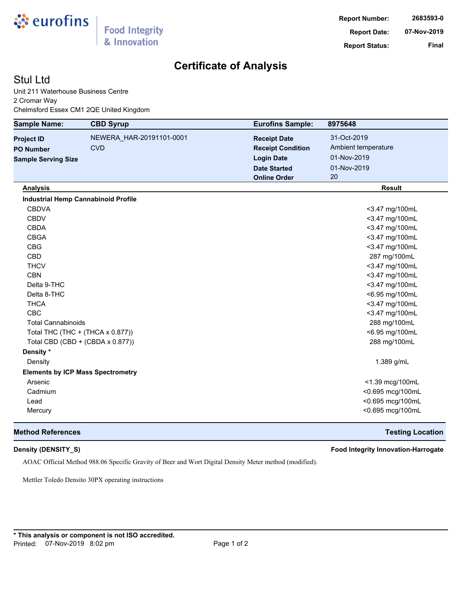

# **Certificate of Analysis**

## Stul Ltd

Unit 211 Waterhouse Business Centre 2 Cromar Way Chelmsford Essex CM1 2QE United Kingdom

| <b>Sample Name:</b>        | <b>CBD Syrup</b>                           | <b>Eurofins Sample:</b>  | 8975648             |
|----------------------------|--------------------------------------------|--------------------------|---------------------|
| <b>Project ID</b>          | NEWERA_HAR-20191101-0001                   | <b>Receipt Date</b>      | 31-Oct-2019         |
| <b>PO Number</b>           | <b>CVD</b>                                 | <b>Receipt Condition</b> | Ambient temperature |
| <b>Sample Serving Size</b> |                                            | <b>Login Date</b>        | 01-Nov-2019         |
|                            |                                            | <b>Date Started</b>      | 01-Nov-2019         |
|                            |                                            | <b>Online Order</b>      | 20                  |
| <b>Analysis</b>            |                                            |                          | <b>Result</b>       |
|                            | <b>Industrial Hemp Cannabinoid Profile</b> |                          |                     |
| <b>CBDVA</b>               |                                            |                          | <3.47 mg/100mL      |
| <b>CBDV</b>                |                                            |                          | <3.47 mg/100mL      |
| <b>CBDA</b>                |                                            |                          | <3.47 mg/100mL      |
| <b>CBGA</b>                |                                            |                          | <3.47 mg/100mL      |
| <b>CBG</b>                 |                                            |                          | <3.47 mg/100mL      |
| <b>CBD</b>                 |                                            |                          | 287 mg/100mL        |
| <b>THCV</b>                |                                            |                          | <3.47 mg/100mL      |
| <b>CBN</b>                 |                                            |                          | <3.47 mg/100mL      |
| Delta 9-THC                |                                            |                          | <3.47 mg/100mL      |
| Delta 8-THC                |                                            |                          | <6.95 mg/100mL      |
| <b>THCA</b>                |                                            |                          | <3.47 mg/100mL      |
| <b>CBC</b>                 |                                            |                          | <3.47 mg/100mL      |
| <b>Total Cannabinoids</b>  |                                            |                          | 288 mg/100mL        |
|                            | Total THC (THC + (THCA x 0.877))           |                          | <6.95 mg/100mL      |
|                            | Total CBD (CBD + (CBDA x 0.877))           |                          | 288 mg/100mL        |
| Density *                  |                                            |                          |                     |
| Density                    |                                            |                          | 1.389 g/mL          |
|                            | <b>Elements by ICP Mass Spectrometry</b>   |                          |                     |
| Arsenic                    |                                            |                          | <1.39 mcg/100mL     |
| Cadmium                    |                                            |                          | <0.695 mcg/100mL    |
| Lead                       |                                            |                          | <0.695 mcg/100mL    |
| Mercury                    |                                            |                          | <0.695 mcg/100mL    |

### **Method References Testing Location**

**Density (DENSITY\_S) Food Integrity Innovation-Harrogate**

AOAC Official Method 988.06 Specific Gravity of Beer and Wort Digital Density Meter method (modified).

Mettler Toledo Densito 30PX operating instructions